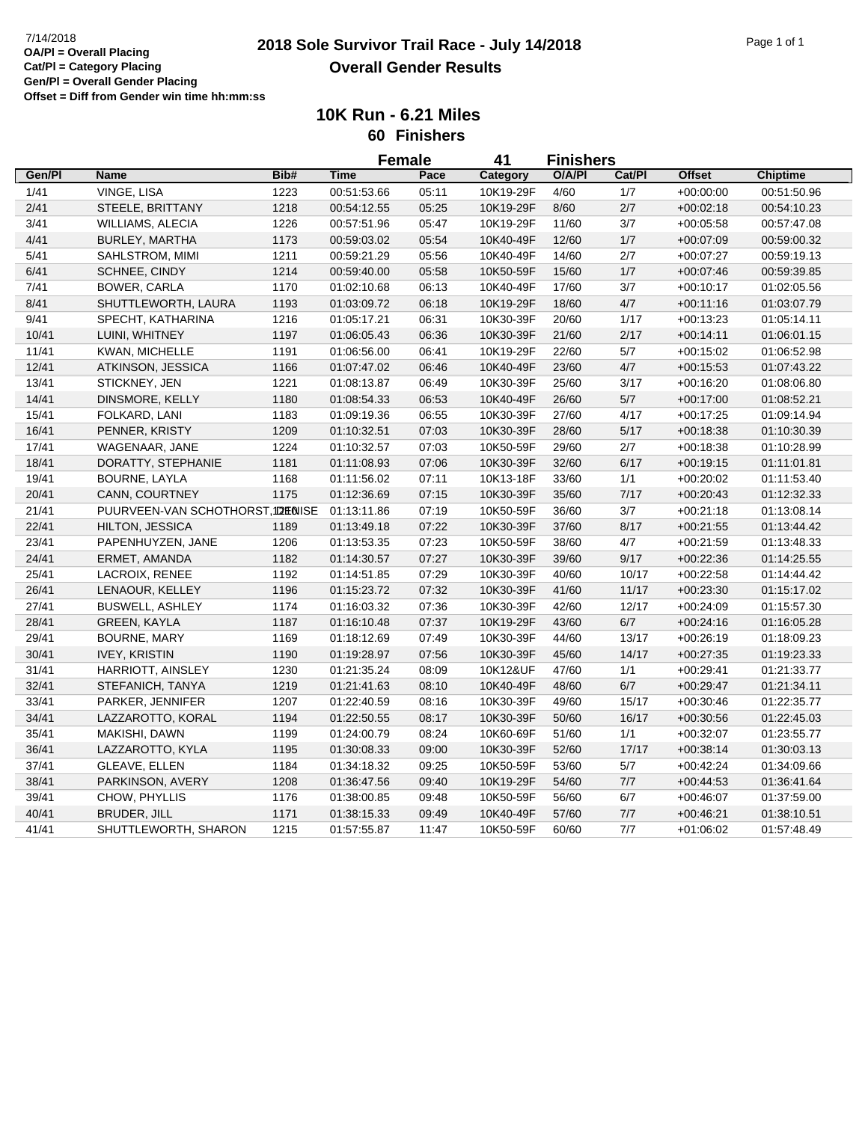## **2018 Sole Survivor Trail Race - July 14/2018** 7/14/2018 Page 1 of 1 **Overall Gender Results**

**10K Run - 6.21 Miles 60 Finishers**

|        |                                  |      | <b>Female</b> |       | 41        | <b>Finishers</b> |        |               |                 |
|--------|----------------------------------|------|---------------|-------|-----------|------------------|--------|---------------|-----------------|
| Gen/Pl | <b>Name</b>                      | Bib# | <b>Time</b>   | Pace  | Category  | O/A/PI           | Cat/Pl | <b>Offset</b> | <b>Chiptime</b> |
| 1/41   | VINGE, LISA                      | 1223 | 00:51:53.66   | 05:11 | 10K19-29F | 4/60             | 1/7    | $+00:00:00$   | 00:51:50.96     |
| 2/41   | STEELE, BRITTANY                 | 1218 | 00:54:12.55   | 05:25 | 10K19-29F | 8/60             | 2/7    | $+00:02:18$   | 00:54:10.23     |
| 3/41   | <b>WILLIAMS, ALECIA</b>          | 1226 | 00:57:51.96   | 05:47 | 10K19-29F | 11/60            | 3/7    | $+00:05:58$   | 00:57:47.08     |
| 4/41   | BURLEY, MARTHA                   | 1173 | 00:59:03.02   | 05:54 | 10K40-49F | 12/60            | $1/7$  | $+00:07:09$   | 00:59:00.32     |
| 5/41   | SAHLSTROM, MIMI                  | 1211 | 00:59:21.29   | 05:56 | 10K40-49F | 14/60            | 2/7    | $+00:07:27$   | 00:59:19.13     |
| 6/41   | SCHNEE, CINDY                    | 1214 | 00:59:40.00   | 05:58 | 10K50-59F | 15/60            | $1/7$  | $+00:07:46$   | 00:59:39.85     |
| 7/41   | <b>BOWER, CARLA</b>              | 1170 | 01:02:10.68   | 06:13 | 10K40-49F | 17/60            | 3/7    | $+00:10:17$   | 01:02:05.56     |
| 8/41   | SHUTTLEWORTH, LAURA              | 1193 | 01:03:09.72   | 06:18 | 10K19-29F | 18/60            | $4/7$  | $+00:11:16$   | 01:03:07.79     |
| 9/41   | SPECHT, KATHARINA                | 1216 | 01:05:17.21   | 06:31 | 10K30-39F | 20/60            | 1/17   | $+00:13:23$   | 01:05:14.11     |
| 10/41  | LUINI, WHITNEY                   | 1197 | 01:06:05.43   | 06:36 | 10K30-39F | 21/60            | 2/17   | $+00:14:11$   | 01:06:01.15     |
| 11/41  | KWAN, MICHELLE                   | 1191 | 01:06:56.00   | 06:41 | 10K19-29F | 22/60            | $5/7$  | $+00.15:02$   | 01:06:52.98     |
| 12/41  | ATKINSON, JESSICA                | 1166 | 01:07:47.02   | 06:46 | 10K40-49F | 23/60            | 4/7    | $+00.15.53$   | 01:07:43.22     |
| 13/41  | STICKNEY, JEN                    | 1221 | 01:08:13.87   | 06:49 | 10K30-39F | 25/60            | 3/17   | $+00:16:20$   | 01:08:06.80     |
| 14/41  | DINSMORE, KELLY                  | 1180 | 01:08:54.33   | 06:53 | 10K40-49F | 26/60            | 5/7    | $+00:17:00$   | 01:08:52.21     |
| 15/41  | FOLKARD, LANI                    | 1183 | 01:09:19.36   | 06:55 | 10K30-39F | 27/60            | 4/17   | $+00:17:25$   | 01:09:14.94     |
| 16/41  | PENNER, KRISTY                   | 1209 | 01:10:32.51   | 07:03 | 10K30-39F | 28/60            | 5/17   | $+00:18:38$   | 01:10:30.39     |
| 17/41  | WAGENAAR, JANE                   | 1224 | 01:10:32.57   | 07:03 | 10K50-59F | 29/60            | 2/7    | $+00:18:38$   | 01:10:28.99     |
| 18/41  | DORATTY, STEPHANIE               | 1181 | 01:11:08.93   | 07:06 | 10K30-39F | 32/60            | 6/17   | $+00:19:15$   | 01:11:01.81     |
| 19/41  | <b>BOURNE, LAYLA</b>             | 1168 | 01:11:56.02   | 07:11 | 10K13-18F | 33/60            | 1/1    | $+00:20:02$   | 01:11:53.40     |
| 20/41  | CANN, COURTNEY                   | 1175 | 01:12:36.69   | 07:15 | 10K30-39F | 35/60            | $7/17$ | $+00:20:43$   | 01:12:32.33     |
| 21/41  | PUURVEEN-VAN SCHOTHORST,12HINISE |      | 01:13:11.86   | 07:19 | 10K50-59F | 36/60            | $3/7$  | $+00.21:18$   | 01:13:08.14     |
| 22/41  | <b>HILTON, JESSICA</b>           | 1189 | 01:13:49.18   | 07:22 | 10K30-39F | 37/60            | 8/17   | $+00:21:55$   | 01:13:44.42     |
| 23/41  | PAPENHUYZEN, JANE                | 1206 | 01:13:53.35   | 07:23 | 10K50-59F | 38/60            | 4/7    | $+00.21:59$   | 01:13:48.33     |
| 24/41  | ERMET, AMANDA                    | 1182 | 01:14:30.57   | 07:27 | 10K30-39F | 39/60            | 9/17   | $+00:22:36$   | 01:14:25.55     |
| 25/41  | LACROIX, RENEE                   | 1192 | 01:14:51.85   | 07:29 | 10K30-39F | 40/60            | 10/17  | $+00:22:58$   | 01:14:44.42     |
| 26/41  | LENAOUR, KELLEY                  | 1196 | 01:15:23.72   | 07:32 | 10K30-39F | 41/60            | 11/17  | $+00:23:30$   | 01:15:17.02     |
| 27/41  | <b>BUSWELL, ASHLEY</b>           | 1174 | 01:16:03.32   | 07:36 | 10K30-39F | 42/60            | 12/17  | $+00.24:09$   | 01:15:57.30     |
| 28/41  | GREEN, KAYLA                     | 1187 | 01:16:10.48   | 07:37 | 10K19-29F | 43/60            | 6/7    | $+00:24:16$   | 01:16:05.28     |
| 29/41  | BOURNE, MARY                     | 1169 | 01:18:12.69   | 07:49 | 10K30-39F | 44/60            | 13/17  | $+00:26:19$   | 01:18:09.23     |
| 30/41  | <b>IVEY, KRISTIN</b>             | 1190 | 01:19:28.97   | 07:56 | 10K30-39F | 45/60            | 14/17  | $+00:27:35$   | 01:19:23.33     |
| 31/41  | HARRIOTT, AINSLEY                | 1230 | 01:21:35.24   | 08:09 | 10K12&UF  | 47/60            | 1/1    | $+00:29:41$   | 01:21:33.77     |
| 32/41  | STEFANICH, TANYA                 | 1219 | 01:21:41.63   | 08:10 | 10K40-49F | 48/60            | $6/7$  | $+00:29:47$   | 01:21:34.11     |
| 33/41  | PARKER, JENNIFER                 | 1207 | 01:22:40.59   | 08:16 | 10K30-39F | 49/60            | 15/17  | $+00:30:46$   | 01:22:35.77     |
| 34/41  | LAZZAROTTO, KORAL                | 1194 | 01:22:50.55   | 08:17 | 10K30-39F | 50/60            | 16/17  | $+00:30:56$   | 01:22:45.03     |
| 35/41  | MAKISHI, DAWN                    | 1199 | 01:24:00.79   | 08:24 | 10K60-69F | 51/60            | 1/1    | $+00:32:07$   | 01:23:55.77     |
| 36/41  | LAZZAROTTO, KYLA                 | 1195 | 01:30:08.33   | 09:00 | 10K30-39F | 52/60            | 17/17  | $+00.38:14$   | 01:30:03.13     |
| 37/41  | GLEAVE, ELLEN                    | 1184 | 01:34:18.32   | 09:25 | 10K50-59F | 53/60            | $5/7$  | $+00.42:24$   | 01:34:09.66     |
| 38/41  | PARKINSON, AVERY                 | 1208 | 01:36:47.56   | 09:40 | 10K19-29F | 54/60            | 7/7    | $+00:44:53$   | 01:36:41.64     |
| 39/41  | CHOW, PHYLLIS                    | 1176 | 01:38:00.85   | 09:48 | 10K50-59F | 56/60            | 6/7    | $+00.46:07$   | 01:37:59.00     |
| 40/41  | BRUDER, JILL                     | 1171 | 01:38:15.33   | 09:49 | 10K40-49F | 57/60            | 7/7    | $+00:46:21$   | 01:38:10.51     |
| 41/41  | SHUTTLEWORTH, SHARON             | 1215 | 01:57:55.87   | 11:47 | 10K50-59F | 60/60            | 7/7    | $+01:06:02$   | 01:57:48.49     |